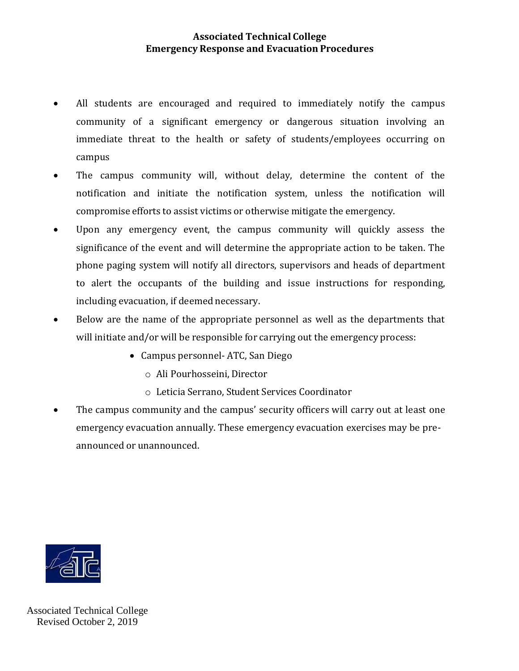## **Associated Technical College Emergency Response and Evacuation Procedures**

- All students are encouraged and required to immediately notify the campus community of a significant emergency or dangerous situation involving an immediate threat to the health or safety of students/employees occurring on campus
- The campus community will, without delay, determine the content of the notification and initiate the notification system, unless the notification will compromise efforts to assist victims or otherwise mitigate the emergency.
- Upon any emergency event, the campus community will quickly assess the significance of the event and will determine the appropriate action to be taken. The phone paging system will notify all directors, supervisors and heads of department to alert the occupants of the building and issue instructions for responding, including evacuation, if deemed necessary.
- Below are the name of the appropriate personnel as well as the departments that will initiate and/or will be responsible for carrying out the emergency process:
	- Campus personnel- ATC, San Diego
		- o Ali Pourhosseini, Director
		- o Leticia Serrano, Student Services Coordinator
- The campus community and the campus' security officers will carry out at least one emergency evacuation annually. These emergency evacuation exercises may be preannounced or unannounced.



Associated Technical College Revised October 2, 2019